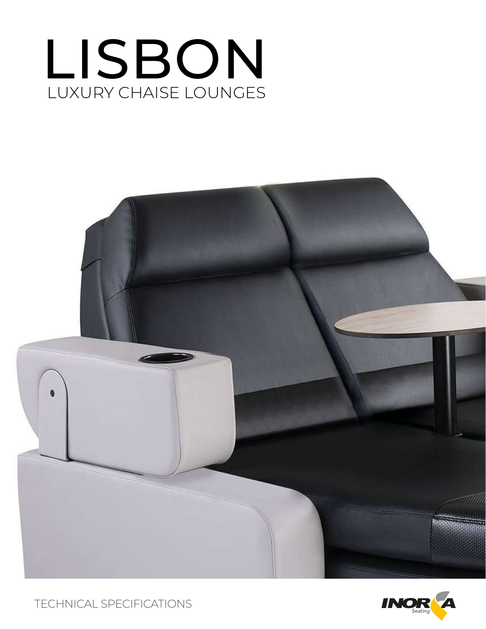# LUXURY CHAISE LOUNGES LISBON





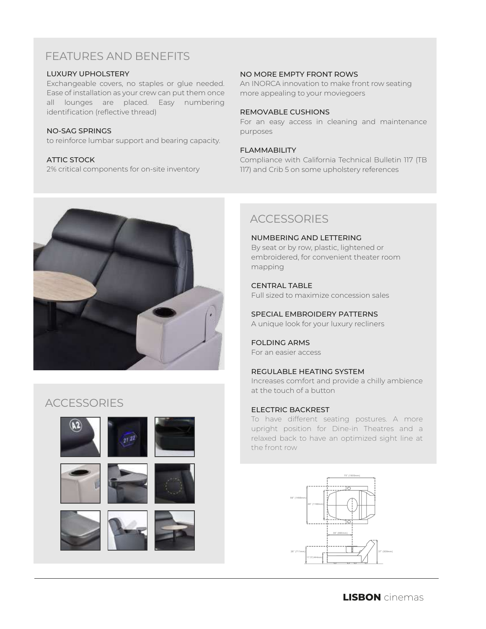# FEATURES AND BENEFITS

#### LUXURY UPHOLSTERY

Exchangeable covers, no staples or glue needed. Ease of installation as your crew can put them once all lounges are placed. Easy numbering identification (reflective thread)

#### NO-SAG SPRINGS

to reinforce lumbar support and bearing capacity.

#### ATTIC STOCK

2% critical components for on-site inventory



# **ACCESSORIES**



### NO MORE EMPTY FRONT ROWS

An INORCA innovation to make front row seating more appealing to your moviegoers

#### REMOVABLE CUSHIONS

For an easy access in cleaning and maintenance purposes

#### FLAMMABILITY

Compliance with California Technical Bulletin 117 (TB 117) and Crib 5 on some upholstery references

# **ACCESSORIES**

NUMBERING AND LETTERING By seat or by row, plastic, lightened or embroidered, for convenient theater room mapping

CENTRAL TABLE Full sized to maximize concession sales

SPECIAL EMBROIDERY PATTERNS A unique look for your luxury recliners

FOLDING ARMS For an easier access

#### REGULABLE HEATING SYSTEM

Increases comfort and provide a chilly ambience at the touch of a button

#### ELECTRIC BACKREST

To have different seating postures. A more upright position for Dine-in Theatres and a relaxed back to have an optimized sight line at the front row

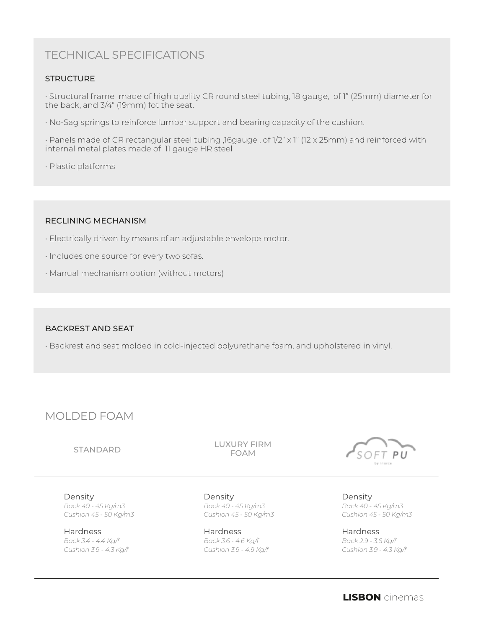# TECHNICAL SPECIFICATIONS

## **STRUCTURE**

• Structural frame made of high quality CR round steel tubing, 18 gauge, of 1" (25mm) diameter for the back, and 3/4" (19mm) fot the seat.

• No-Sag springs to reinforce lumbar support and bearing capacity of the cushion.

• Panels made of CR rectangular steel tubing ,16gauge , of 1/2" x 1" (12 x 25mm) and reinforced with internal metal plates made of 11 gauge HR steel

• Plastic platforms

### RECLINING MECHANISM

- Electrically driven by means of an adjustable envelope motor.
- Includes one source for every two sofas.
- Manual mechanism option (without motors)

### BACKREST AND SEAT

• Backrest and seat molded in cold-injected polyurethane foam, and upholstered in vinyl.

# MOLDED FOAM

### STANDARD

LUXURY FIRM FOAM

Density *Back 40 - 45 Kg/m3 Cushion 45 - 50 Kg/m3*

**Hardness** *Back 3.4 - 4.4 Kg/f Cushion 3.9 - 4.3 Kg/f*

Density *Back 40 - 45 Kg/m3 Cushion 45 - 50 Kg/m3*

Hardness *Back 3.6 - 4.6 Kg/f Cushion 3.9 - 4.9 Kg/f*



Density *Back 40 - 45 Kg/m3 Cushion 45 - 50 Kg/m3*

Hardness *Back 2.9 - 3.6 Kg/f Cushion 3.9 - 4.3 Kg/f*